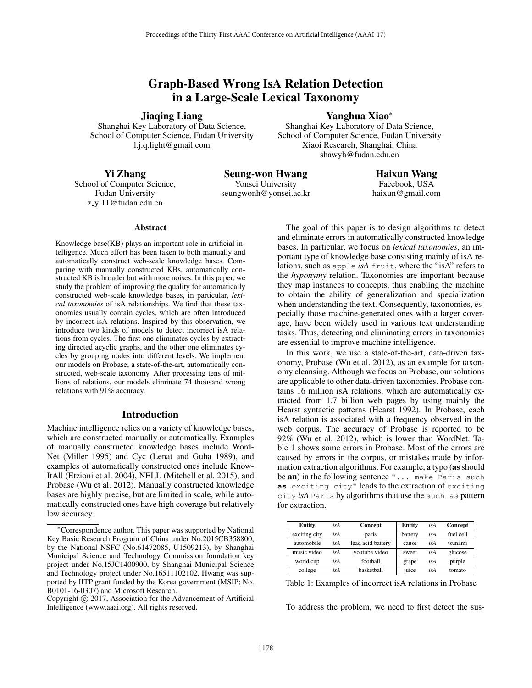# Graph-Based Wrong IsA Relation Detection in a Large-Scale Lexical Taxonomy

Jiaqing Liang

# Yanghua Xiao<sup>∗</sup>

Shanghai Key Laboratory of Data Science, School of Computer Science, Fudan University l.j.q.light@gmail.com

Shanghai Key Laboratory of Data Science, School of Computer Science, Fudan University Xiaoi Research, Shanghai, China shawyh@fudan.edu.cn

# Yi Zhang

School of Computer Science, Fudan University z yi11@fudan.edu.cn

# Seung-won Hwang

Yonsei University seungwonh@yonsei.ac.kr

Haixun Wang Facebook, USA haixun@gmail.com

### **Abstract**

Knowledge base(KB) plays an important role in artificial intelligence. Much effort has been taken to both manually and automatically construct web-scale knowledge bases. Comparing with manually constructed KBs, automatically constructed KB is broader but with more noises. In this paper, we study the problem of improving the quality for automatically constructed web-scale knowledge bases, in particular, *lexical taxonomies* of isA relationships. We find that these taxonomies usually contain cycles, which are often introduced by incorrect isA relations. Inspired by this observation, we introduce two kinds of models to detect incorrect isA relations from cycles. The first one eliminates cycles by extracting directed acyclic graphs, and the other one eliminates cycles by grouping nodes into different levels. We implement our models on Probase, a state-of-the-art, automatically constructed, web-scale taxonomy. After processing tens of millions of relations, our models eliminate 74 thousand wrong relations with 91% accuracy.

# Introduction

Machine intelligence relies on a variety of knowledge bases, which are constructed manually or automatically. Examples of manually constructed knowledge bases include Word-Net (Miller 1995) and Cyc (Lenat and Guha 1989), and examples of automatically constructed ones include Know-ItAll (Etzioni et al. 2004), NELL (Mitchell et al. 2015), and Probase (Wu et al. 2012). Manually constructed knowledge bases are highly precise, but are limited in scale, while automatically constructed ones have high coverage but relatively low accuracy.

The goal of this paper is to design algorithms to detect and eliminate errors in automatically constructed knowledge bases. In particular, we focus on *lexical taxonomies*, an important type of knowledge base consisting mainly of isA relations, such as apple *isA* fruit, where the "isA" refers to the *hyponymy* relation. Taxonomies are important because they map instances to concepts, thus enabling the machine to obtain the ability of generalization and specialization when understanding the text. Consequently, taxonomies, especially those machine-generated ones with a larger coverage, have been widely used in various text understanding tasks. Thus, detecting and eliminating errors in taxonomies are essential to improve machine intelligence.

In this work, we use a state-of-the-art, data-driven taxonomy, Probase (Wu et al. 2012), as an example for taxonomy cleansing. Although we focus on Probase, our solutions are applicable to other data-driven taxonomies. Probase contains 16 million isA relations, which are automatically extracted from 1.7 billion web pages by using mainly the Hearst syntactic patterns (Hearst 1992). In Probase, each isA relation is associated with a frequency observed in the web corpus. The accuracy of Probase is reported to be 92% (Wu et al. 2012), which is lower than WordNet. Table 1 shows some errors in Probase. Most of the errors are caused by errors in the corpus, or mistakes made by information extraction algorithms. For example, a typo (as should be an) in the following sentence "... make Paris such **as** exciting city" leads to the extraction of exciting city *isA* Paris by algorithms that use the such as pattern for extraction.

| Entity        | isA | Concept           | Entity  | isA | Concept   |
|---------------|-----|-------------------|---------|-----|-----------|
| exciting city | isA | paris             | battery | isA | fuel cell |
| automobile    | isA | lead acid battery | cause   | isA | tsunami   |
| music video   | isA | voutube video     | sweet   | isA | glucose   |
| world cup     | isA | football          | grape   | isA | purple    |
| college       | isA | haskethall        | iuice   | isA | tomato    |

Table 1: Examples of incorrect isA relations in Probase

To address the problem, we need to first detect the sus-

<sup>∗</sup>Correspondence author. This paper was supported by National Key Basic Research Program of China under No.2015CB358800, by the National NSFC (No.61472085, U1509213), by Shanghai Municipal Science and Technology Commission foundation key project under No.15JC1400900, by Shanghai Municipal Science and Technology project under No.16511102102. Hwang was supported by IITP grant funded by the Korea government (MSIP; No. B0101-16-0307) and Microsoft Research.

Copyright  $\odot$  2017, Association for the Advancement of Artificial Intelligence (www.aaai.org). All rights reserved.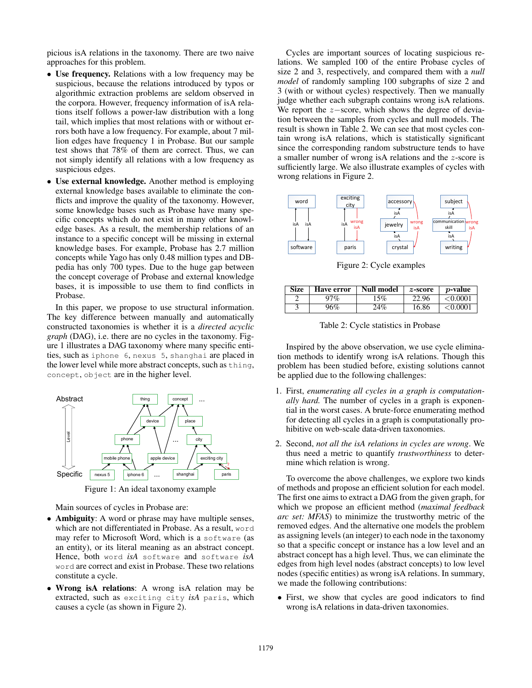picious isA relations in the taxonomy. There are two naive approaches for this problem.

- Use frequency. Relations with a low frequency may be suspicious, because the relations introduced by typos or algorithmic extraction problems are seldom observed in the corpora. However, frequency information of isA relations itself follows a power-law distribution with a long tail, which implies that most relations with or without errors both have a low frequency. For example, about 7 million edges have frequency 1 in Probase. But our sample test shows that 78% of them are correct. Thus, we can not simply identify all relations with a low frequency as suspicious edges.
- Use external knowledge. Another method is employing external knowledge bases available to eliminate the conflicts and improve the quality of the taxonomy. However, some knowledge bases such as Probase have many specific concepts which do not exist in many other knowledge bases. As a result, the membership relations of an instance to a specific concept will be missing in external knowledge bases. For example, Probase has 2.7 million concepts while Yago has only 0.48 million types and DBpedia has only 700 types. Due to the huge gap between the concept coverage of Probase and external knowledge bases, it is impossible to use them to find conflicts in Probase.

In this paper, we propose to use structural information. The key difference between manually and automatically constructed taxonomies is whether it is a *directed acyclic graph* (DAG), i.e. there are no cycles in the taxonomy. Figure 1 illustrates a DAG taxonomy where many specific entities, such as iphone 6, nexus 5, shanghai are placed in the lower level while more abstract concepts, such as thing, concept, object are in the higher level.



Figure 1: An ideal taxonomy example

Main sources of cycles in Probase are:

- Ambiguity: A word or phrase may have multiple senses, which are not differentiated in Probase. As a result, word may refer to Microsoft Word, which is a software (as an entity), or its literal meaning as an abstract concept. Hence, both word *isA* software and software *isA* word are correct and exist in Probase. These two relations constitute a cycle.
- Wrong isA relations: A wrong isA relation may be extracted, such as exciting city *isA* paris, which causes a cycle (as shown in Figure 2).

Cycles are important sources of locating suspicious relations. We sampled 100 of the entire Probase cycles of size 2 and 3, respectively, and compared them with a *null model* of randomly sampling 100 subgraphs of size 2 and 3 (with or without cycles) respectively. Then we manually judge whether each subgraph contains wrong isA relations. We report the <sup>z</sup>−score, which shows the degree of deviation between the samples from cycles and null models. The result is shown in Table 2. We can see that most cycles contain wrong isA relations, which is statistically significant since the corresponding random substructure tends to have a smaller number of wrong isA relations and the z-score is sufficiently large. We also illustrate examples of cycles with wrong relations in Figure 2.



Figure 2: Cycle examples

| <b>Size</b> | Have error | Null model | $z$ -score | <i>p</i> -value |
|-------------|------------|------------|------------|-----------------|
|             | 97%        | 5%         | 22.96      | < 0.0001        |
|             | 96%        | $24\%$     | 16.86      | < 0.0001        |

Table 2: Cycle statistics in Probase

Inspired by the above observation, we use cycle elimination methods to identify wrong isA relations. Though this problem has been studied before, existing solutions cannot be applied due to the following challenges:

- 1. First, *enumerating all cycles in a graph is computationally hard.* The number of cycles in a graph is exponential in the worst cases. A brute-force enumerating method for detecting all cycles in a graph is computationally prohibitive on web-scale data-driven taxonomies.
- 2. Second, *not all the isA relations in cycles are wrong*. We thus need a metric to quantify *trustworthiness* to determine which relation is wrong.

To overcome the above challenges, we explore two kinds of methods and propose an efficient solution for each model. The first one aims to extract a DAG from the given graph, for which we propose an efficient method (*maximal feedback arc set: MFAS*) to minimize the trustworthy metric of the removed edges. And the alternative one models the problem as assigning levels (an integer) to each node in the taxonomy so that a specific concept or instance has a low level and an abstract concept has a high level. Thus, we can eliminate the edges from high level nodes (abstract concepts) to low level nodes (specific entities) as wrong isA relations. In summary, we made the following contributions:

• First, we show that cycles are good indicators to find wrong isA relations in data-driven taxonomies.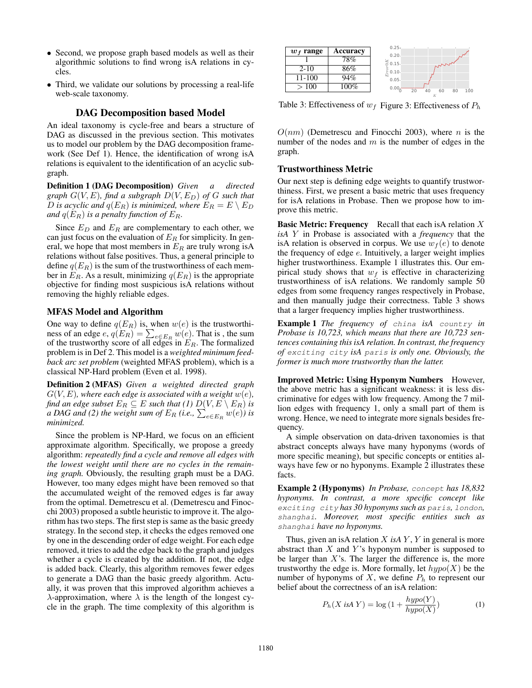- Second, we propose graph based models as well as their algorithmic solutions to find wrong isA relations in cycles.
- Third, we validate our solutions by processing a real-life web-scale taxonomy.

# DAG Decomposition based Model

An ideal taxonomy is cycle-free and bears a structure of DAG as discussed in the previous section. This motivates us to model our problem by the DAG decomposition framework (See Def 1). Hence, the identification of wrong isA relations is equivalent to the identification of an acyclic subgraph.

Definition 1 (DAG Decomposition) *Given a directed graph*  $G(V, E)$ *, find a subgraph*  $D(V, E_D)$  *of*  $G$  *such that D* is acyclic and  $q(E_R)$  is minimized, where  $E_R = E \setminus E_D$ *and*  $q(E_R)$  *is a penalty function of*  $E_R$ .

Since  $E_D$  and  $E_R$  are complementary to each other, we can just focus on the evaluation of  $E_R$  for simplicity. In general, we hope that most members in  $E_R$  are truly wrong is A relations without false positives. Thus, a general principle to define  $q(E_R)$  is the sum of the trustworthiness of each member in  $E_R$ . As a result, minimizing  $q(E_R)$  is the appropriate objective for finding most suspicious isA relations without removing the highly reliable edges.

#### MFAS Model and Algorithm

One way to define  $q(E_R)$  is, when  $w(e)$  is the trustworthiness of an edge  $e$ ,  $q(E_R) = \sum_{e \in E_R} w(e)$ . That is, the sum of the trustworthy score of all edges in  $E_R$ . The formalized problem is in Def 2. This model is a *weighted minimum feedback arc set problem* (weighted MFAS problem), which is a classical NP-Hard problem (Even et al. 1998).

Definition 2 (MFAS) *Given a weighted directed graph*  $G(V, E)$ *, where each edge is associated with a weight*  $w(e)$ *, find an edge subset*  $E_R \subseteq E$  *such that (1)*  $D(V, E \setminus E_R)$  *is a* DAG and (2) the weight sum of  $E_R$  (i.e.,  $\sum_{e \in E_R} w(e)$ ) is *minimized.*

Since the problem is NP-Hard, we focus on an efficient approximate algorithm. Specifically, we propose a greedy algorithm: *repeatedly find a cycle and remove all edges with the lowest weight until there are no cycles in the remaining graph.* Obviously, the resulting graph must be a DAG. However, too many edges might have been removed so that the accumulated weight of the removed edges is far away from the optimal. Demetrescu et al. (Demetrescu and Finocchi 2003) proposed a subtle heuristic to improve it. The algorithm has two steps. The first step is same as the basic greedy strategy. In the second step, it checks the edges removed one by one in the descending order of edge weight. For each edge removed, it tries to add the edge back to the graph and judges whether a cycle is created by the addition. If not, the edge is added back. Clearly, this algorithm removes fewer edges to generate a DAG than the basic greedy algorithm. Actually, it was proven that this improved algorithm achieves a λ-approximation, where  $λ$  is the length of the longest cycle in the graph. The time complexity of this algorithm is

| $w_f$ range | Accuracy | $0.25 -$<br>$0.20 -$                                          |
|-------------|----------|---------------------------------------------------------------|
|             | 78%      | $0.15 -$<br>222                                               |
| $2 - 10$    | 86%      | $\check{\epsilon}$ 0.10 $\cdot$                               |
| 11-100      | 94%      | $0.05 -$                                                      |
| >100        | 100%     | 0.00 <sub>5</sub><br>$\overline{20}$<br>60<br>40<br>80<br>100 |
|             |          |                                                               |

Table 3: Effectiveness of  $w_f$  Figure 3: Effectiveness of  $P_h$ 

 $O(nm)$  (Demetrescu and Finocchi 2003), where n is the number of the nodes and  $m$  is the number of edges in the graph.

# Trustworthiness Metric

Our next step is defining edge weights to quantify trustworthiness. First, we present a basic metric that uses frequency for isA relations in Probase. Then we propose how to improve this metric.

**Basic Metric: Frequency** Recall that each is A relation  $X$ *isA* Y in Probase is associated with a *frequency* that the isA relation is observed in corpus. We use  $w_f(e)$  to denote the frequency of edge  $e$ . Intuitively, a larger weight implies higher trustworthiness. Example 1 illustrates this. Our empirical study shows that  $w_f$  is effective in characterizing trustworthiness of isA relations. We randomly sample 50 edges from some frequency ranges respectively in Probase, and then manually judge their correctness. Table 3 shows that a larger frequency implies higher trustworthiness.

Example 1 *The frequency of* china *isA* country *in Probase is 10,723, which means that there are 10,723 sentences containing this isA relation. In contrast, the frequency of* exciting city *isA* paris *is only one. Obviously, the former is much more trustworthy than the latter.*

Improved Metric: Using Hyponym Numbers However, the above metric has a significant weakness: it is less discriminative for edges with low frequency. Among the 7 million edges with frequency 1, only a small part of them is wrong. Hence, we need to integrate more signals besides frequency.

A simple observation on data-driven taxonomies is that abstract concepts always have many hyponyms (words of more specific meaning), but specific concepts or entities always have few or no hyponyms. Example 2 illustrates these facts.

Example 2 (Hyponyms) *In Probase,* concept *has 18,832 hyponyms. In contrast, a more specific concept like* exciting city *has 30 hyponyms such as* paris*,* london*,* shanghai*. Moreover, most specific entities such as* shanghai *have no hyponyms.*

Thus, given an isA relation  $X$  *isA*  $Y$ ,  $Y$  in general is more abstract than  $X$  and  $Y$ 's hyponym number is supposed to be larger than  $X$ 's. The larger the difference is, the more trustworthy the edge is. More formally, let  $hypo(X)$  be the number of hyponyms of X, we define  $P_h$  to represent our belief about the correctness of an isA relation:

$$
P_h(X \text{ isA } Y) = \log\left(1 + \frac{hypo(Y)}{hypo(X)}\right) \tag{1}
$$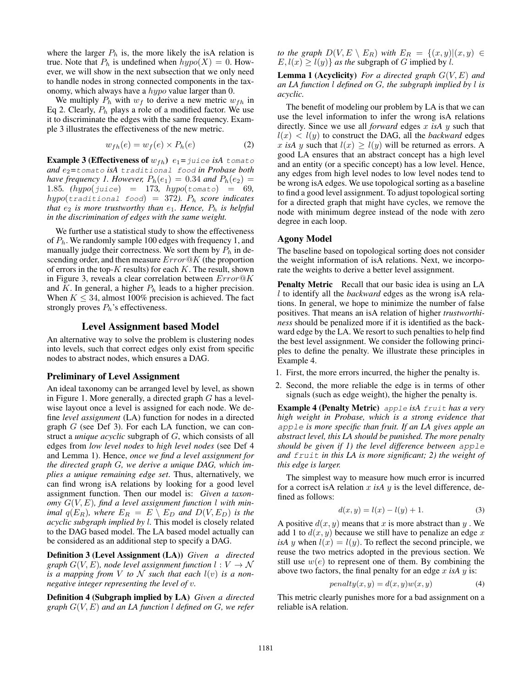where the larger  $P_h$  is, the more likely the isA relation is true. Note that  $P_h$  is undefined when  $hypo(X)=0$ . However, we will show in the next subsection that we only need to handle nodes in strong connected components in the taxonomy, which always have a hypo value larger than 0.

We multiply  $P_h$  with  $w_f$  to derive a new metric  $w_{fh}$  in Eq 2. Clearly,  $P_h$  plays a role of a modified factor. We use it to discriminate the edges with the same frequency. Example 3 illustrates the effectiveness of the new metric.

$$
w_{fh}(e) = w_f(e) \times P_h(e) \tag{2}
$$

**Example 3 (Effectiveness of**  $w_{fh}$ )  $e_1 = juice$  *isA* tomato *and* e2*=*tomato *isA* traditional food *in Probase both have frequency 1. However,*  $P_h(e_1)=0.34$  *and*  $P_h(e_2)$  = 1.85*. (*hypo(juice) = 173*,* hypo(tomato) = 69*,*  $hypo(tradiitional food) = 372$ ).  $P_h$  *score indicates that*  $e_2$  *is more trustworthy than*  $e_1$ *. Hence,*  $P_h$  *is helpful in the discrimination of edges with the same weight.*

We further use a statistical study to show the effectiveness of  $P_h$ . We randomly sample 100 edges with frequency 1, and manually judge their correctness. We sort them by  $P_h$  in descending order, and then measure  $Error@K$  (the proportion of errors in the top- $K$  results) for each  $K$ . The result, shown in Figure 3, reveals a clear correlation between Error@K and K. In general, a higher  $P_h$  leads to a higher precision. When  $K \leq 34$ , almost 100% precision is achieved. The fact strongly proves  $P_h$ 's effectiveness.

#### Level Assignment based Model

An alternative way to solve the problem is clustering nodes into levels, such that correct edges only exist from specific nodes to abstract nodes, which ensures a DAG.

#### Preliminary of Level Assignment

An ideal taxonomy can be arranged level by level, as shown in Figure 1. More generally, a directed graph G has a levelwise layout once a level is assigned for each node. We define *level assignment* (LA) function for nodes in a directed graph  $G$  (see Def 3). For each LA function, we can construct a *unique acyclic* subgraph of G, which consists of all edges from *low level nodes* to *high level nodes* (see Def 4 and Lemma 1). Hence, *once we find a level assignment for the directed graph* G*, we derive a unique DAG, which implies a unique remaining edge set*. Thus, alternatively, we can find wrong isA relations by looking for a good level assignment function. Then our model is: *Given a taxonomy* G(V,E)*, find a level assignment function* l *with minimal*  $q(E_R)$ *, where*  $E_R = E \setminus E_D$  *and*  $D(V, E_D)$  *is the acyclic subgraph implied by* l*.* This model is closely related to the DAG based model. The LA based model actually can be considered as an additional step to specify a DAG.

Definition 3 (Level Assignment (LA)) *Given a directed graph*  $G(V, E)$ *, node level assignment function*  $l: V \rightarrow \mathcal{N}$ *is a mapping from* V *to* N *such that each*  $l(v)$  *is a nonnegative integer representing the level of* v*.*

Definition 4 (Subgraph implied by LA) *Given a directed graph* G(V,E) *and an LA function* l *defined on* G*, we refer*

*to the graph*  $D(V, E \setminus E_R)$  *with*  $E_R = \{(x, y) | (x, y) \in$  $E, l(x) \ge l(y)$  *as the subgraph of G implied by l.* 

Lemma 1 (Acyclicity) *For a directed graph* G(V,E) *and an LA function* l *defined on* G*, the subgraph implied by* l *is acyclic.*

The benefit of modeling our problem by LA is that we can use the level information to infer the wrong isA relations directly. Since we use all *forward* edges x *isA* y such that  $l(x)$  <  $l(y)$  to construct the DAG, all the *backward* edges x isA y such that  $l(x) \geq l(y)$  will be returned as errors. A good LA ensures that an abstract concept has a high level and an entity (or a specific concept) has a low level. Hence, any edges from high level nodes to low level nodes tend to be wrong isA edges. We use topological sorting as a baseline to find a good level assignment. To adjust topological sorting for a directed graph that might have cycles, we remove the node with minimum degree instead of the node with zero degree in each loop.

# Agony Model

The baseline based on topological sorting does not consider the weight information of isA relations. Next, we incorporate the weights to derive a better level assignment.

Penalty Metric Recall that our basic idea is using an LA l to identify all the *backward* edges as the wrong isA relations. In general, we hope to minimize the number of false positives. That means an isA relation of higher *trustworthiness* should be penalized more if it is identified as the backward edge by the LA. We resort to such penalties to help find the best level assignment. We consider the following principles to define the penalty. We illustrate these principles in Example 4.

- 1. First, the more errors incurred, the higher the penalty is.
- 2. Second, the more reliable the edge is in terms of other signals (such as edge weight), the higher the penalty is.

Example 4 (Penalty Metric) apple *isA* fruit *has a very high weight in Probase, which is a strong evidence that* apple *is more specific than fruit. If an LA gives apple an abstract level, this LA should be punished. The more penalty should be given if 1) the level difference between* apple *and* fruit *in this LA is more significant; 2) the weight of this edge is larger.*

The simplest way to measure how much error is incurred for a correct is A relation  $x$  *is A*  $y$  is the level difference, defined as follows:

$$
d(x, y) = l(x) - l(y) + 1.
$$
 (3)

A positive  $d(x, y)$  means that x is more abstract than y. We add 1 to  $d(x, y)$  because we still have to penalize an edge x *isA* y when  $l(x) = l(y)$ . To reflect the second principle, we reuse the two metrics adopted in the previous section. We still use  $w(e)$  to represent one of them. By combining the above two factors, the final penalty for an edge x *isA* y is:

$$
penalty(x, y) = d(x, y)w(x, y)
$$
\n(4)

This metric clearly punishes more for a bad assignment on a reliable isA relation.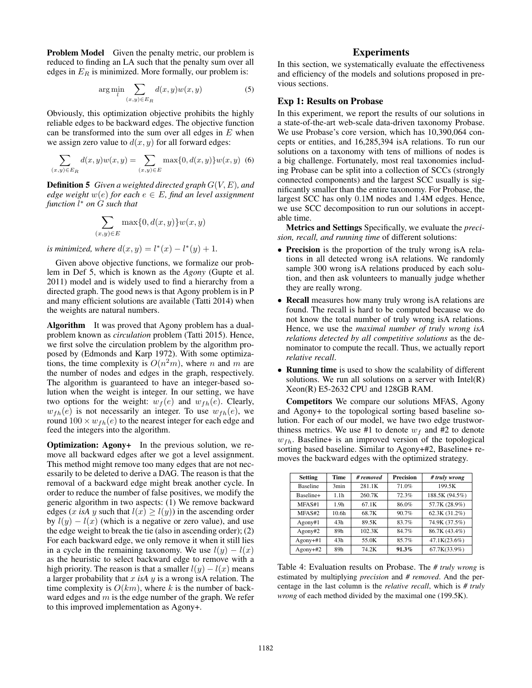Problem Model Given the penalty metric, our problem is reduced to finding an LA such that the penalty sum over all edges in  $E_R$  is minimized. More formally, our problem is:

$$
\arg\min_{l} \sum_{(x,y)\in E_R} d(x,y)w(x,y) \tag{5}
$$

Obviously, this optimization objective prohibits the highly reliable edges to be backward edges. The objective function can be transformed into the sum over all edges in  $E$  when we assign zero value to  $d(x, y)$  for all forward edges:

$$
\sum_{(x,y)\in E_R} d(x,y)w(x,y) = \sum_{(x,y)\in E} \max\{0, d(x,y)\}w(x,y)
$$
 (6)

Definition 5 *Given a weighted directed graph* G(V,E)*, and edge weight*  $w(e)$  *for each*  $e \in E$ *, find an level assignment function* l <sup>∗</sup> *on* G *such that*

$$
\sum_{(x,y)\in E} \max\{0,d(x,y)\} w(x,y)
$$

*is minimized, where*  $d(x, y) = l^*(x) - l^*(y) + 1$ .

Given above objective functions, we formalize our problem in Def 5, which is known as the *Agony* (Gupte et al. 2011) model and is widely used to find a hierarchy from a directed graph. The good news is that Agony problem is in P and many efficient solutions are available (Tatti 2014) when the weights are natural numbers.

Algorithm It was proved that Agony problem has a dualproblem known as *circulation* problem (Tatti 2015). Hence, we first solve the circulation problem by the algorithm proposed by (Edmonds and Karp 1972). With some optimizations, the time complexity is  $O(n^2m)$ , where n and m are the number of nodes and edges in the graph, respectively. The algorithm is guaranteed to have an integer-based solution when the weight is integer. In our setting, we have two options for the weight:  $w_f(e)$  and  $w_{fh}(e)$ . Clearly,  $w_{fh}(e)$  is not necessarily an integer. To use  $w_{fh}(e)$ , we round  $100 \times w_{fh}(e)$  to the nearest integer for each edge and feed the integers into the algorithm.

Optimization: Agony+ In the previous solution, we remove all backward edges after we got a level assignment. This method might remove too many edges that are not necessarily to be deleted to derive a DAG. The reason is that the removal of a backward edge might break another cycle. In order to reduce the number of false positives, we modify the generic algorithm in two aspects: (1) We remove backward edges (x isA y such that  $l(x) \ge l(y)$ ) in the ascending order by  $l(y) - l(x)$  (which is a negative or zero value), and use the edge weight to break the tie (also in ascending order); (2) For each backward edge, we only remove it when it still lies in a cycle in the remaining taxonomy. We use  $l(y) - l(x)$ as the heuristic to select backward edge to remove with a high priority. The reason is that a smaller  $l(y) - l(x)$  means a larger probability that x *isA* y is a wrong isA relation. The time complexity is  $O(km)$ , where k is the number of backward edges and  $m$  is the edge number of the graph. We refer to this improved implementation as Agony+.

# **Experiments**

In this section, we systematically evaluate the effectiveness and efficiency of the models and solutions proposed in previous sections.

### Exp 1: Results on Probase

In this experiment, we report the results of our solutions in a state-of-the-art web-scale data-driven taxonomy Probase. We use Probase's core version, which has 10,390,064 concepts or entities, and 16,285,394 isA relations. To run our solutions on a taxonomy with tens of millions of nodes is a big challenge. Fortunately, most real taxonomies including Probase can be split into a collection of SCCs (strongly connected components) and the largest SCC usually is significantly smaller than the entire taxonomy. For Probase, the largest SCC has only 0.1M nodes and 1.4M edges. Hence, we use SCC decomposition to run our solutions in acceptable time.

Metrics and Settings Specifically, we evaluate the *precision, recall, and running time* of different solutions:

- Precision is the proportion of the truly wrong is A relations in all detected wrong isA relations. We randomly sample 300 wrong isA relations produced by each solution, and then ask volunteers to manually judge whether they are really wrong.
- Recall measures how many truly wrong is A relations are found. The recall is hard to be computed because we do not know the total number of truly wrong isA relations. Hence, we use the *maximal number of truly wrong isA relations detected by all competitive solutions* as the denominator to compute the recall. Thus, we actually report *relative recall*.
- Running time is used to show the scalability of different solutions. We run all solutions on a server with  $Intel(R)$ Xeon(R) E5-2632 CPU and 128GB RAM.

Competitors We compare our solutions MFAS, Agony and Agony+ to the topological sorting based baseline solution. For each of our model, we have two edge trustworthiness metrics. We use #1 to denote  $w_f$  and #2 to denote  $w_{fh}$ . Baseline+ is an improved version of the topological sorting based baseline. Similar to Agony+#2, Baseline+ removes the backward edges with the optimized strategy.

| <b>Setting</b>  | Time              | # removed | <b>Precision</b> | # truly wrong  |
|-----------------|-------------------|-----------|------------------|----------------|
| <b>Baseline</b> | 3min              | 281.1K    | 71.0%            | 199.5K         |
| Baseline+       | 1.1h              | 260.7K    | 72.3%            | 188.5K (94.5%) |
| MFAS#1          | 1.9h              | 67.1K     | 86.0%            | 57.7K (28.9%)  |
| MFAS#2          | 10.6 <sub>h</sub> | 68.7K     | 90.7%            | 62.3K (31.2%)  |
| Agony#1         | 43h               | 89.5K     | 83.7%            | 74.9K (37.5%)  |
| Agony#2         | 89h               | 102.3K    | 84.7%            | 86.7K (43.4%)  |
| $A$ gony $+#1$  | 43h               | 55.0K     | 85.7%            | 47.1K(23.6%)   |
| $A$ gony $+$ #2 | 89h               | 74.2K     | 91.3%            | 67.7K(33.9%)   |

Table 4: Evaluation results on Probase. The *# truly wrong* is estimated by multiplying *precision* and *# removed*. And the percentage in the last column is the *relative recall*, which is *# truly wrong* of each method divided by the maximal one (199.5K).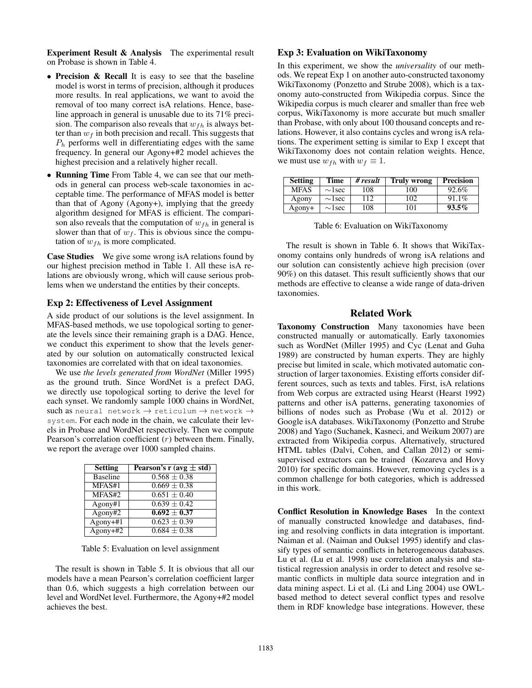Experiment Result & Analysis The experimental result on Probase is shown in Table 4.

- Precision & Recall It is easy to see that the baseline model is worst in terms of precision, although it produces more results. In real applications, we want to avoid the removal of too many correct isA relations. Hence, baseline approach in general is unusable due to its 71% precision. The comparison also reveals that  $w_{fh}$  is always better than  $w_f$  in both precision and recall. This suggests that  $P<sub>h</sub>$  performs well in differentiating edges with the same frequency. In general our Agony+#2 model achieves the highest precision and a relatively higher recall.
- Running Time From Table 4, we can see that our methods in general can process web-scale taxonomies in acceptable time. The performance of MFAS model is better than that of Agony (Agony+), implying that the greedy algorithm designed for MFAS is efficient. The comparison also reveals that the computation of  $w_{fh}$  in general is slower than that of  $w_f$ . This is obvious since the computation of  $w_{fh}$  is more complicated.

Case Studies We give some wrong is A relations found by our highest precision method in Table 1. All these isA relations are obviously wrong, which will cause serious problems when we understand the entities by their concepts.

# Exp 2: Effectiveness of Level Assignment

A side product of our solutions is the level assignment. In MFAS-based methods, we use topological sorting to generate the levels since their remaining graph is a DAG. Hence, we conduct this experiment to show that the levels generated by our solution on automatically constructed lexical taxonomies are correlated with that on ideal taxonomies.

We use *the levels generated from WordNet* (Miller 1995) as the ground truth. Since WordNet is a prefect DAG, we directly use topological sorting to derive the level for each synset. We randomly sample 1000 chains in WordNet, such as neural network  $\rightarrow$  reticulum  $\rightarrow$  network  $\rightarrow$ system. For each node in the chain, we calculate their levels in Probase and WordNet respectively. Then we compute Pearson's correlation coefficient  $(r)$  between them. Finally, we report the average over 1000 sampled chains.

| <b>Setting</b>  | Pearson's r (avg $\pm$ std) |
|-----------------|-----------------------------|
| <b>Baseline</b> | $0.568 \pm 0.38$            |
| MFAS#1          | $0.669 \pm 0.38$            |
| MFAS#2          | $0.651 \pm 0.40$            |
| Agony#1         | $0.639 + 0.42$              |
| Agony#2         | $0.692 + 0.37$              |
| $Agony+#1$      | $0.623 \pm 0.39$            |
| $Agony+#2$      | $0.684 \pm 0.38$            |

Table 5: Evaluation on level assignment

The result is shown in Table 5. It is obvious that all our models have a mean Pearson's correlation coefficient larger than 0.6, which suggests a high correlation between our level and WordNet level. Furthermore, the Agony+#2 model achieves the best.

#### Exp 3: Evaluation on WikiTaxonomy

In this experiment, we show the *universality* of our methods. We repeat Exp 1 on another auto-constructed taxonomy WikiTaxonomy (Ponzetto and Strube 2008), which is a taxonomy auto-constructed from Wikipedia corpus. Since the Wikipedia corpus is much clearer and smaller than free web corpus, WikiTaxonomy is more accurate but much smaller than Probase, with only about 100 thousand concepts and relations. However, it also contains cycles and wrong isA relations. The experiment setting is similar to Exp 1 except that WikiTaxonomy does not contain relation weights. Hence, we must use  $w_{fh}$  with  $w_f \equiv 1$ .

| <b>Setting</b> | Time         | # result | <b>Truly wrong</b> | <b>Precision</b> |
|----------------|--------------|----------|--------------------|------------------|
| <b>MFAS</b>    | $\sim$ 1 sec | 108      | 100                | 92.6%            |
| Agony          | $\sim$ 1 sec | 112      | 102                | 91.1%            |
| Agony+         | $\sim$ lsec  | 108      | 101                | $93.5\%$         |

Table 6: Evaluation on WikiTaxonomy

The result is shown in Table 6. It shows that WikiTaxonomy contains only hundreds of wrong isA relations and our solution can consistently achieve high precision (over 90%) on this dataset. This result sufficiently shows that our methods are effective to cleanse a wide range of data-driven taxonomies.

# Related Work

Taxonomy Construction Many taxonomies have been constructed manually or automatically. Early taxonomies such as WordNet (Miller 1995) and Cyc (Lenat and Guha 1989) are constructed by human experts. They are highly precise but limited in scale, which motivated automatic construction of larger taxonomies. Existing efforts consider different sources, such as texts and tables. First, isA relations from Web corpus are extracted using Hearst (Hearst 1992) patterns and other isA patterns, generating taxonomies of billions of nodes such as Probase (Wu et al. 2012) or Google isA databases. WikiTaxonomy (Ponzetto and Strube 2008) and Yago (Suchanek, Kasneci, and Weikum 2007) are extracted from Wikipedia corpus. Alternatively, structured HTML tables (Dalvi, Cohen, and Callan 2012) or semisupervised extractors can be trained (Kozareva and Hovy 2010) for specific domains. However, removing cycles is a common challenge for both categories, which is addressed in this work.

Conflict Resolution in Knowledge Bases In the context of manually constructed knowledge and databases, finding and resolving conflicts in data integration is important. Naiman et al. (Naiman and Ouksel 1995) identify and classify types of semantic conflicts in heterogeneous databases. Lu et al. (Lu et al. 1998) use correlation analysis and statistical regression analysis in order to detect and resolve semantic conflicts in multiple data source integration and in data mining aspect. Li et al. (Li and Ling 2004) use OWLbased method to detect several conflict types and resolve them in RDF knowledge base integrations. However, these